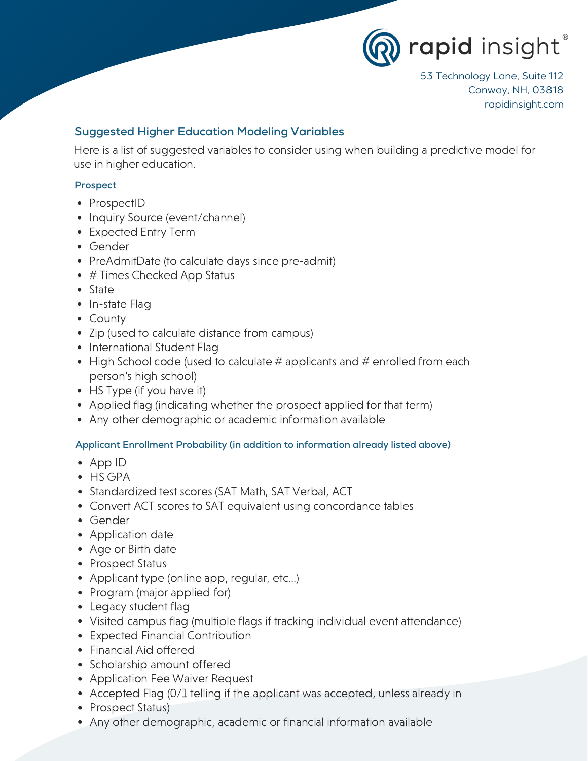

53 Technology Lane, Suite 112 Conway, NH, 03818 rapidinsight.com

# Suggested Higher Education Modeling Variables

Here is a list of suggested variables to consider using when building a predictive model for use in higher education.

## Prospect

- ProspectID
- Inquiry Source (event/channel)
- Expected Entry Term
- Gender
- PreAdmitDate (to calculate days since pre-admit)
- # Times Checked App Status
- State
- In-state Flag
- County
- Zip (used to calculate distance from campus)
- International Student Flag
- $\bullet$  High School code (used to calculate # applicants and # enrolled from each person's high school)
- HS Type (if you have it)
- Applied flag (indicating whether the prospect applied for that term)
- Any other demographic or academic information available

#### Applicant Enrollment Probability (in addition to information already listed above)

- App ID
- HS GPA
- Standardized test scores (SAT Math, SAT Verbal, ACT
- Convert ACT scores to SAT equivalent using concordance tables
- Gender
- Application date
- Age or Birth date
- Prospect Status
- Applicant type (online app, regular, etc...)
- Program (major applied for)
- Legacy student flag
- Visited campus flag (multiple flags if tracking individual event attendance)
- Expected Financial Contribution
- Financial Aid offered
- Scholarship amount offered
- Application Fee Waiver Request
- Accepted Flag (0/1 telling if the applicant was accepted, unless already in
- Prospect Status)
- Any other demographic, academic or financial information available